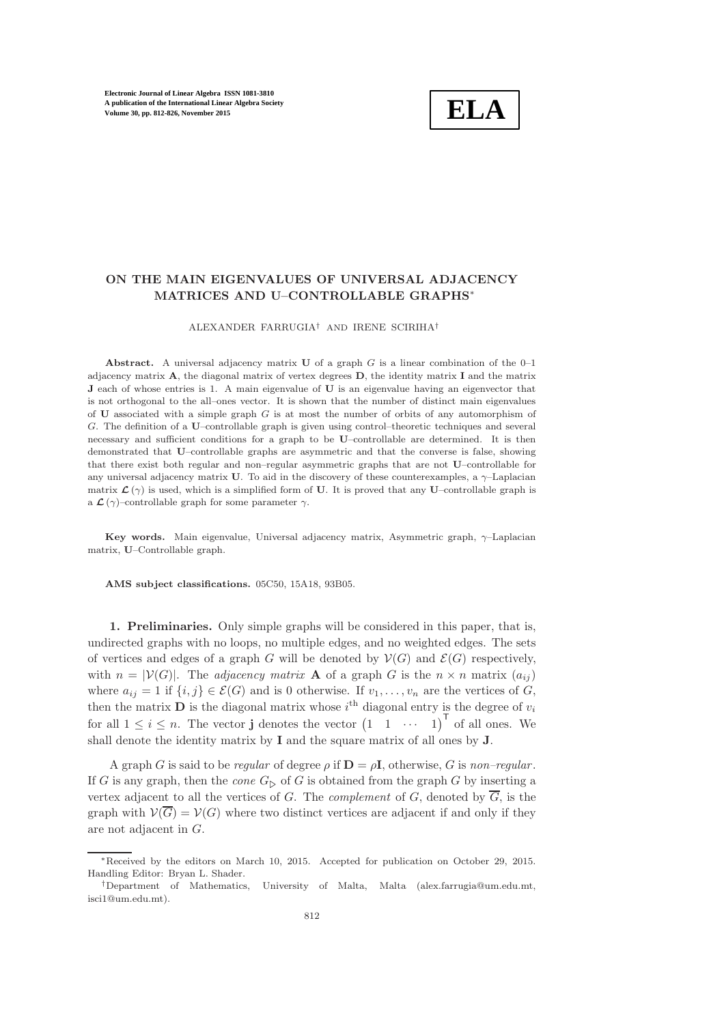

# ON THE MAIN EIGENVALUES OF UNIVERSAL ADJACENCY MATRICES AND U–CONTROLLABLE GRAPHS<sup>∗</sup>

ALEXANDER FARRUGIA† AND IRENE SCIRIHA†

Abstract. A universal adjacency matrix  $U$  of a graph  $G$  is a linear combination of the 0-1 adjacency matrix  $\bf{A}$ , the diagonal matrix of vertex degrees  $\bf{D}$ , the identity matrix  $\bf{I}$  and the matrix J each of whose entries is 1. A main eigenvalue of U is an eigenvalue having an eigenvector that is not orthogonal to the all–ones vector. It is shown that the number of distinct main eigenvalues of U associated with a simple graph G is at most the number of orbits of any automorphism of G. The definition of a U–controllable graph is given using control–theoretic techniques and several necessary and sufficient conditions for a graph to be U–controllable are determined. It is then demonstrated that U–controllable graphs are asymmetric and that the converse is false, showing that there exist both regular and non–regular asymmetric graphs that are not U–controllable for any universal adjacency matrix U. To aid in the discovery of these counterexamples, a  $\gamma$ -Laplacian matrix  $\mathcal{L}(\gamma)$  is used, which is a simplified form of U. It is proved that any U–controllable graph is a  $\mathcal{L}\left(\gamma\right)$  –controllable graph for some parameter  $\gamma.$ 

Key words. Main eigenvalue, Universal adjacency matrix, Asymmetric graph, γ–Laplacian matrix, U–Controllable graph.

AMS subject classifications. 05C50, 15A18, 93B05.

1. Preliminaries. Only simple graphs will be considered in this paper, that is, undirected graphs with no loops, no multiple edges, and no weighted edges. The sets of vertices and edges of a graph G will be denoted by  $V(G)$  and  $\mathcal{E}(G)$  respectively, with  $n = |\mathcal{V}(G)|$ . The *adjacency matrix* **A** of a graph G is the  $n \times n$  matrix  $(a_{ij})$ where  $a_{ij} = 1$  if  $\{i, j\} \in \mathcal{E}(G)$  and is 0 otherwise. If  $v_1, \ldots, v_n$  are the vertices of G, then the matrix **D** is the diagonal matrix whose  $i^{\text{th}}$  diagonal entry is the degree of  $v_i$ for all  $1 \leq i \leq n$ . The vector **j** denotes the vector  $\begin{pmatrix} 1 & 1 & \cdots & 1 \end{pmatrix}^T$  of all ones. We shall denote the identity matrix by I and the square matrix of all ones by J.

A graph G is said to be *regular* of degree  $\rho$  if  $\mathbf{D} = \rho \mathbf{I}$ , otherwise, G is *non–regular*. If G is any graph, then the *cone*  $G_{\triangleright}$  of G is obtained from the graph G by inserting a vertex adjacent to all the vertices of G. The *complement* of G, denoted by  $\overline{G}$ , is the graph with  $\mathcal{V}(\overline{G}) = \mathcal{V}(G)$  where two distinct vertices are adjacent if and only if they are not adjacent in G.

<sup>∗</sup>Received by the editors on March 10, 2015. Accepted for publication on October 29, 2015. Handling Editor: Bryan L. Shader.

<sup>†</sup>Department of Mathematics, University of Malta, Malta (alex.farrugia@um.edu.mt, isci1@um.edu.mt).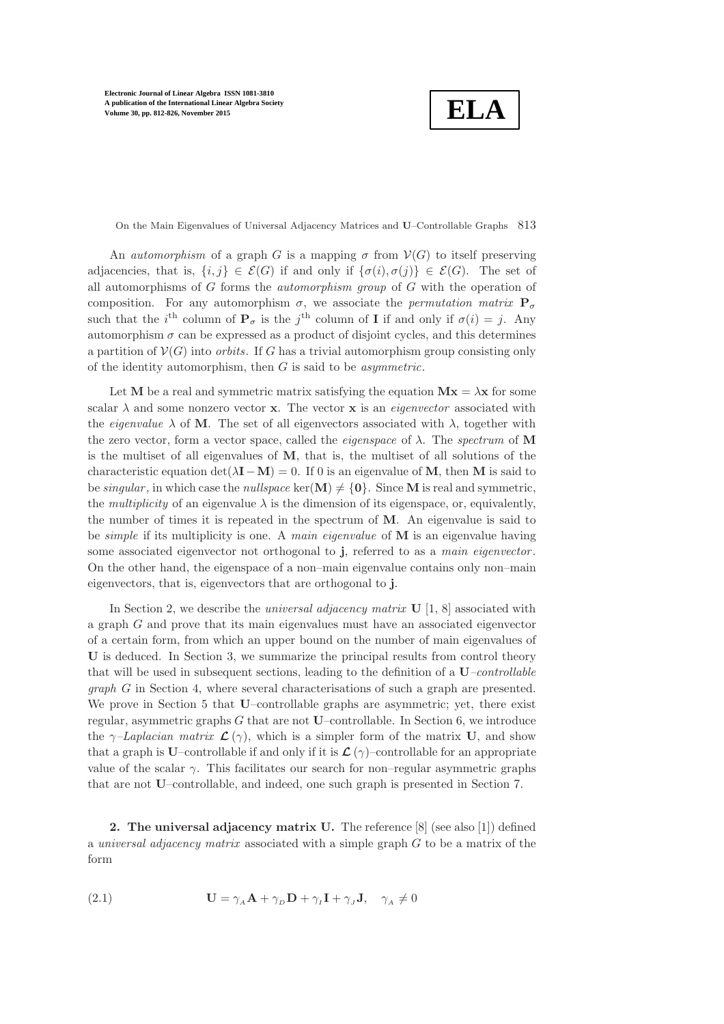**ELA**

On the Main Eigenvalues of Universal Adjacency Matrices and U–Controllable Graphs 813

An *automorphism* of a graph G is a mapping  $\sigma$  from  $V(G)$  to itself preserving adjacencies, that is,  $\{i, j\} \in \mathcal{E}(G)$  if and only if  $\{\sigma(i), \sigma(j)\} \in \mathcal{E}(G)$ . The set of all automorphisms of G forms the *automorphism group* of G with the operation of composition. For any automorphism  $\sigma$ , we associate the *permutation matrix*  $P_{\sigma}$ such that the *i*<sup>th</sup> column of  $P_{\sigma}$  is the *j*<sup>th</sup> column of **I** if and only if  $\sigma(i) = j$ . Any automorphism  $\sigma$  can be expressed as a product of disjoint cycles, and this determines a partition of  $\mathcal{V}(G)$  into *orbits*. If G has a trivial automorphism group consisting only of the identity automorphism, then G is said to be *asymmetric*.

Let M be a real and symmetric matrix satisfying the equation  $Mx = \lambda x$  for some scalar  $\lambda$  and some nonzero vector **x**. The vector **x** is an *eigenvector* associated with the *eigenvalue*  $\lambda$  of **M**. The set of all eigenvectors associated with  $\lambda$ , together with the zero vector, form a vector space, called the *eigenspace* of λ. The *spectrum* of M is the multiset of all eigenvalues of  $M$ , that is, the multiset of all solutions of the characteristic equation det( $\lambda$ **I**−M) = 0. If 0 is an eigenvalue of M, then M is said to be *singular*, in which case the *nullspace* ker( $\mathbf{M}$ )  $\neq$  {0}. Since **M** is real and symmetric, the *multiplicity* of an eigenvalue  $\lambda$  is the dimension of its eigenspace, or, equivalently, the number of times it is repeated in the spectrum of M. An eigenvalue is said to be *simple* if its multiplicity is one. A *main eigenvalue* of M is an eigenvalue having some associated eigenvector not orthogonal to j, referred to as a *main eigenvector* . On the other hand, the eigenspace of a non–main eigenvalue contains only non–main eigenvectors, that is, eigenvectors that are orthogonal to j.

In Section [2,](#page-1-0) we describe the *universal adjacency matrix* **U** [\[1,](#page-14-0) [8\]](#page-14-1) associated with a graph G and prove that its main eigenvalues must have an associated eigenvector of a certain form, from which an upper bound on the number of main eigenvalues of U is deduced. In Section [3,](#page-4-0) we summarize the principal results from control theory that will be used in subsequent sections, leading to the definition of a U*–controllable graph* G in Section [4,](#page-6-0) where several characterisations of such a graph are presented. We prove in Section [5](#page-10-0) that U–controllable graphs are asymmetric; yet, there exist regular, asymmetric graphs  $G$  that are not **U**–controllable. In Section [6,](#page-11-0) we introduce the  $\gamma$ –Laplacian matrix  $\mathcal{L}(\gamma)$ , which is a simpler form of the matrix U, and show that a graph is U–controllable if and only if it is  $\mathcal{L}(\gamma)$ –controllable for an appropriate value of the scalar  $\gamma$ . This facilitates our search for non–regular asymmetric graphs that are not U–controllable, and indeed, one such graph is presented in Section [7.](#page-13-0)

<span id="page-1-1"></span><span id="page-1-0"></span>**2.** The universal adjacency matrix U. The reference  $[8]$  (see also [\[1\]](#page-14-0)) defined a *universal adjacency matrix* associated with a simple graph G to be a matrix of the form

(2.1) 
$$
\mathbf{U} = \gamma_A \mathbf{A} + \gamma_D \mathbf{D} + \gamma_I \mathbf{I} + \gamma_J \mathbf{J}, \quad \gamma_A \neq 0
$$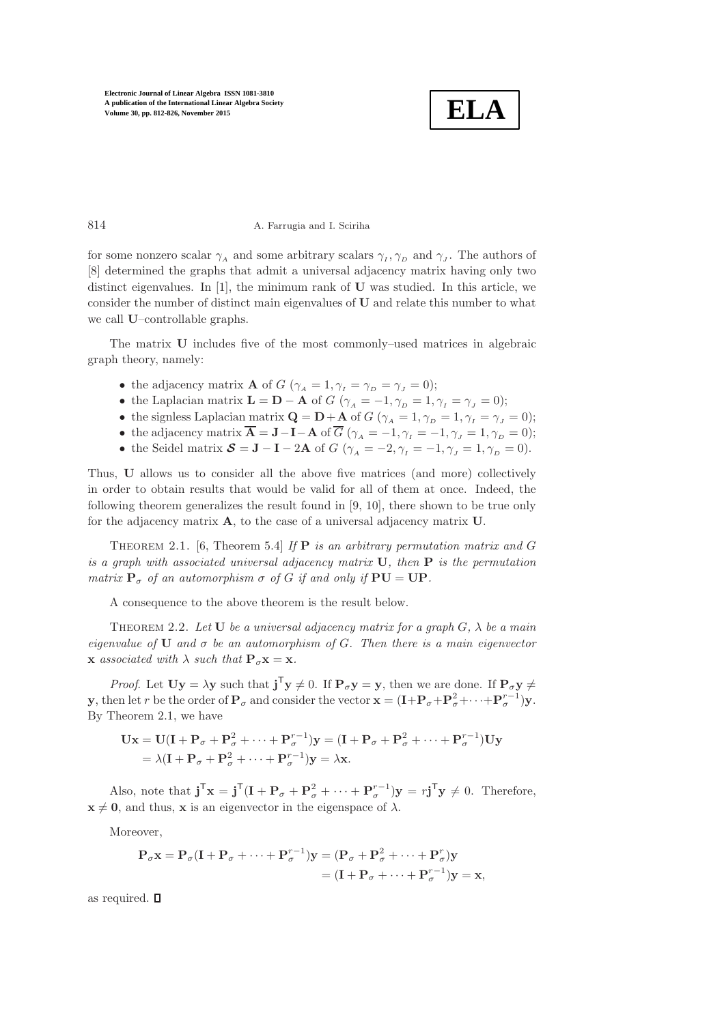

#### 814 A. Farrugia and I. Sciriha

for some nonzero scalar  $\gamma_A$  and some arbitrary scalars  $\gamma_I, \gamma_D$  and  $\gamma_J$ . The authors of [\[8\]](#page-14-1) determined the graphs that admit a universal adjacency matrix having only two distinct eigenvalues. In  $[1]$ , the minimum rank of U was studied. In this article, we consider the number of distinct main eigenvalues of U and relate this number to what we call U–controllable graphs.

The matrix U includes five of the most commonly–used matrices in algebraic graph theory, namely:

- the adjacency matrix **A** of  $G$  ( $\gamma_A = 1, \gamma_I = \gamma_D = \gamma_I = 0$ );
- the Laplacian matrix  $\mathbf{L} = \mathbf{D} \mathbf{A}$  of  $G(\gamma_A = -1, \gamma_D = 1, \gamma_I = \gamma_I = 0);$
- the signless Laplacian matrix  $\mathbf{Q} = \mathbf{D} + \mathbf{A}$  of  $G(\gamma_A = 1, \gamma_D = 1, \gamma_I = \gamma_J = 0);$
- the adjacency matrix  $\overline{\mathbf{A}} = \mathbf{J} \mathbf{I} \mathbf{A}$  of  $\overline{G}$  ( $\gamma_A = -1$ ,  $\gamma_I = -1$ ,  $\gamma_J = 1$ ,  $\gamma_D = 0$ );
- the Seidel matrix  $\mathcal{S} = \mathbf{J} \mathbf{I} 2\mathbf{A}$  of  $G(\gamma_A = -2, \gamma_I = -1, \gamma_I = 1, \gamma_D = 0)$ .

Thus, U allows us to consider all the above five matrices (and more) collectively in order to obtain results that would be valid for all of them at once. Indeed, the following theorem generalizes the result found in [\[9,](#page-14-2) [10\]](#page-14-3), there shown to be true only for the adjacency matrix A, to the case of a universal adjacency matrix U.

<span id="page-2-0"></span>Theorem 2.1. [\[6,](#page-14-4) Theorem 5.4] *If* P *is an arbitrary permutation matrix and* G *is a graph with associated universal adjacency matrix* U*, then* P *is the permutation matrix*  $P_{\sigma}$  *of an automorphism*  $\sigma$  *of G if and only if*  $PU = UP$ *.* 

<span id="page-2-1"></span>A consequence to the above theorem is the result below.

Theorem 2.2. *Let* U *be a universal adjacency matrix for a graph* G*,* λ *be a main eigenvalue of* U *and* σ *be an automorphism of* G*. Then there is a main eigenvector*  $\bf{x}$  *associated with*  $\lambda$  *such that*  $\bf{P}_{\sigma} \bf{x} = \bf{x}$ *.* 

*Proof.* Let  $\mathbf{Uy} = \lambda \mathbf{y}$  such that  $\mathbf{j}^T \mathbf{y} \neq 0$ . If  $\mathbf{P}_{\sigma} \mathbf{y} = \mathbf{y}$ , then we are done. If  $\mathbf{P}_{\sigma} \mathbf{y} \neq 0$ **y**, then let r be the order of  $P_{\sigma}$  and consider the vector  $\mathbf{x} = (\mathbf{I} + \mathbf{P}_{\sigma} + \mathbf{P}_{\sigma}^2 + \cdots + \mathbf{P}_{\sigma}^{r-1})\mathbf{y}$ . By Theorem [2.1,](#page-2-0) we have

$$
\mathbf{Ux} = \mathbf{U}(\mathbf{I} + \mathbf{P}_{\sigma} + \mathbf{P}_{\sigma}^{2} + \dots + \mathbf{P}_{\sigma}^{r-1})\mathbf{y} = (\mathbf{I} + \mathbf{P}_{\sigma} + \mathbf{P}_{\sigma}^{2} + \dots + \mathbf{P}_{\sigma}^{r-1})\mathbf{Uy}
$$
  
=  $\lambda(\mathbf{I} + \mathbf{P}_{\sigma} + \mathbf{P}_{\sigma}^{2} + \dots + \mathbf{P}_{\sigma}^{r-1})\mathbf{y} = \lambda\mathbf{x}.$ 

Also, note that  $\mathbf{j}^{\mathsf{T}}\mathbf{x} = \mathbf{j}^{\mathsf{T}}(\mathbf{I} + \mathbf{P}_{\sigma} + \mathbf{P}_{\sigma}^{2} + \cdots + \mathbf{P}_{\sigma}^{r-1})\mathbf{y} = r\mathbf{j}^{\mathsf{T}}\mathbf{y} \neq 0$ . Therefore,  $x \neq 0$ , and thus, x is an eigenvector in the eigenspace of  $\lambda$ .

Moreover,

$$
\mathbf{P}_{\sigma}\mathbf{x} = \mathbf{P}_{\sigma}(\mathbf{I} + \mathbf{P}_{\sigma} + \dots + \mathbf{P}_{\sigma}^{r-1})\mathbf{y} = (\mathbf{P}_{\sigma} + \mathbf{P}_{\sigma}^{2} + \dots + \mathbf{P}_{\sigma}^{r})\mathbf{y}
$$

$$
= (\mathbf{I} + \mathbf{P}_{\sigma} + \dots + \mathbf{P}_{\sigma}^{r-1})\mathbf{y} = \mathbf{x},
$$

as required.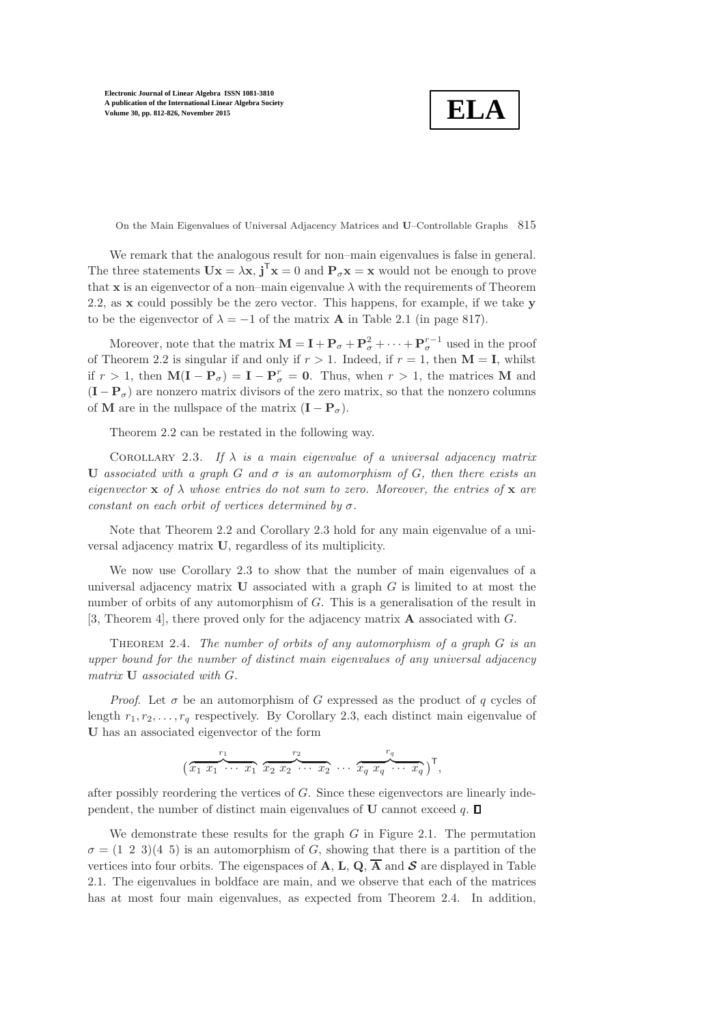**ELA**

On the Main Eigenvalues of Universal Adjacency Matrices and U–Controllable Graphs 815

We remark that the analogous result for non–main eigenvalues is false in general. The three statements  $\mathbf{U}\mathbf{x} = \lambda \mathbf{x}$ ,  $\mathbf{j}^T \mathbf{x} = 0$  and  $\mathbf{P}_{\sigma} \mathbf{x} = \mathbf{x}$  would not be enough to prove that x is an eigenvector of a non–main eigenvalue  $\lambda$  with the requirements of Theorem [2.2,](#page-2-1) as x could possibly be the zero vector. This happens, for example, if we take y to be the eigenvector of  $\lambda = -1$  of the matrix **A** in Table [2.1](#page-5-0) (in page [817\)](#page-5-0).

Moreover, note that the matrix  $\mathbf{M} = \mathbf{I} + \mathbf{P}_{\sigma} + \mathbf{P}_{\sigma}^2 + \cdots + \mathbf{P}_{\sigma}^{r-1}$  used in the proof of Theorem [2.2](#page-2-1) is singular if and only if  $r > 1$ . Indeed, if  $r = 1$ , then  $M = I$ , whilst if  $r > 1$ , then  $\mathbf{M}(\mathbf{I} - \mathbf{P}_{\sigma}) = \mathbf{I} - \mathbf{P}_{\sigma}^{r} = \mathbf{0}$ . Thus, when  $r > 1$ , the matrices M and  $(I - P_{\sigma})$  are nonzero matrix divisors of the zero matrix, so that the nonzero columns of **M** are in the nullspace of the matrix  $(I - P_{\sigma})$ .

<span id="page-3-0"></span>Theorem [2.2](#page-2-1) can be restated in the following way.

COROLLARY 2.3. If  $\lambda$  *is a main eigenvalue of a universal adjacency matrix* U *associated with a graph* G *and* σ *is an automorphism of* G*, then there exists an eigenvector*  $\bf{x}$  *of*  $\lambda$  *whose entries do not sum to zero. Moreover, the entries of*  $\bf{x}$  *are constant on each orbit of vertices determined by* σ*.*

Note that Theorem [2.2](#page-2-1) and Corollary [2.3](#page-3-0) hold for any main eigenvalue of a universal adjacency matrix U, regardless of its multiplicity.

We now use Corollary [2.3](#page-3-0) to show that the number of main eigenvalues of a universal adjacency matrix  **associated with a graph**  $G$  **is limited to at most the** number of orbits of any automorphism of G. This is a generalisation of the result in [\[3,](#page-14-5) Theorem 4], there proved only for the adjacency matrix A associated with G.

<span id="page-3-1"></span>Theorem 2.4. *The number of orbits of any automorphism of a graph* G *is an upper bound for the number of distinct main eigenvalues of any universal adjacency matrix* U *associated with* G*.*

*Proof.* Let  $\sigma$  be an automorphism of G expressed as the product of q cycles of length  $r_1, r_2, \ldots, r_q$  respectively. By Corollary [2.3,](#page-3-0) each distinct main eigenvalue of U has an associated eigenvector of the form

$$
(\overbrace{x_1 x_1 \cdots x_1}^{r_1} \overbrace{x_2 x_2 \cdots x_2}^{r_2} \cdots \overbrace{x_q x_q \cdots x_q}^{r_q})^{\mathsf{T}},
$$

after possibly reordering the vertices of G. Since these eigenvectors are linearly independent, the number of distinct main eigenvalues of **U** cannot exceed  $q$ .  $\Box$ 

We demonstrate these results for the graph  $G$  in Figure [2.1.](#page-14-6) The permutation  $\sigma = (1 \ 2 \ 3)(4 \ 5)$  is an automorphism of G, showing that there is a partition of the vertices into four orbits. The eigenspaces of **A**, **L**, **Q**,  $\overline{A}$  and **S** are displayed in Table [2.1.](#page-5-0) The eigenvalues in boldface are main, and we observe that each of the matrices has at most four main eigenvalues, as expected from Theorem [2.4.](#page-3-1) In addition,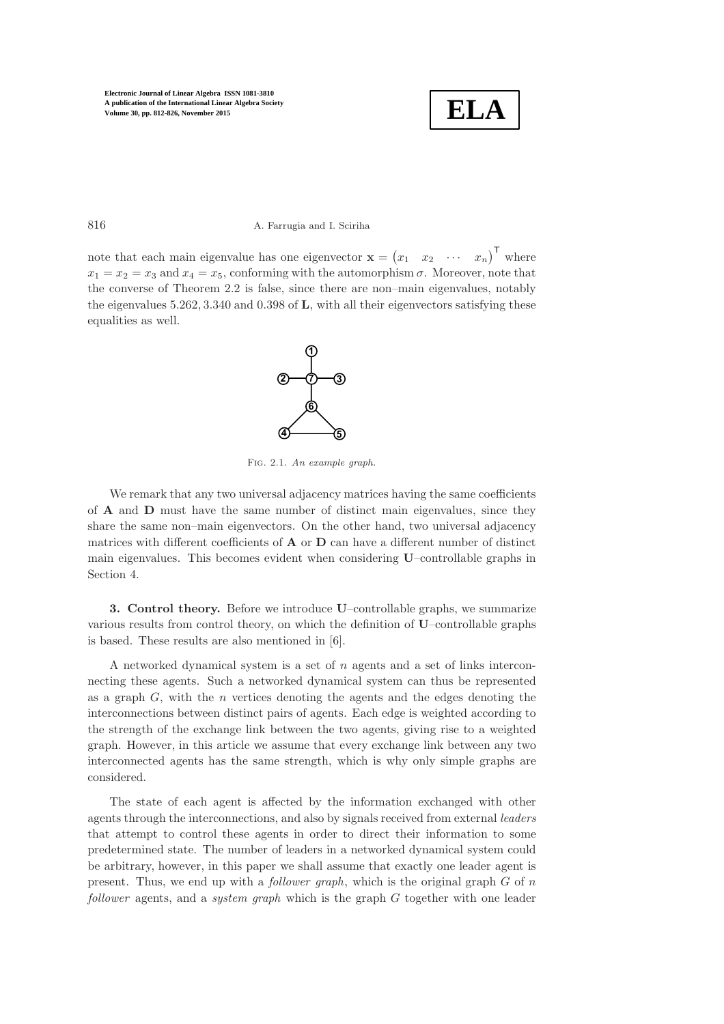

#### 816 A. Farrugia and I. Sciriha

note that each main eigenvalue has one eigenvector  $\mathbf{x} = (x_1 \quad x_2 \quad \cdots \quad x_n)^\mathsf{T}$  where  $x_1 = x_2 = x_3$  and  $x_4 = x_5$ , conforming with the automorphism  $\sigma$ . Moreover, note that the converse of Theorem [2.2](#page-2-1) is false, since there are non–main eigenvalues, notably the eigenvalues 5.262, 3.340 and 0.398 of L, with all their eigenvectors satisfying these equalities as well.



Fig. 2.1. An example graph.

We remark that any two universal adjacency matrices having the same coefficients of A and D must have the same number of distinct main eigenvalues, since they share the same non–main eigenvectors. On the other hand, two universal adjacency matrices with different coefficients of  $A$  or  $D$  can have a different number of distinct main eigenvalues. This becomes evident when considering U–controllable graphs in Section [4.](#page-6-0)

<span id="page-4-0"></span>3. Control theory. Before we introduce U–controllable graphs, we summarize various results from control theory, on which the definition of U–controllable graphs is based. These results are also mentioned in [\[6\]](#page-14-4).

A networked dynamical system is a set of  $n$  agents and a set of links interconnecting these agents. Such a networked dynamical system can thus be represented as a graph  $G$ , with the  $n$  vertices denoting the agents and the edges denoting the interconnections between distinct pairs of agents. Each edge is weighted according to the strength of the exchange link between the two agents, giving rise to a weighted graph. However, in this article we assume that every exchange link between any two interconnected agents has the same strength, which is why only simple graphs are considered.

The state of each agent is affected by the information exchanged with other agents through the interconnections, and also by signals received from external *leaders* that attempt to control these agents in order to direct their information to some predetermined state. The number of leaders in a networked dynamical system could be arbitrary, however, in this paper we shall assume that exactly one leader agent is present. Thus, we end up with a *follower graph*, which is the original graph G of n *follower* agents, and a *system graph* which is the graph G together with one leader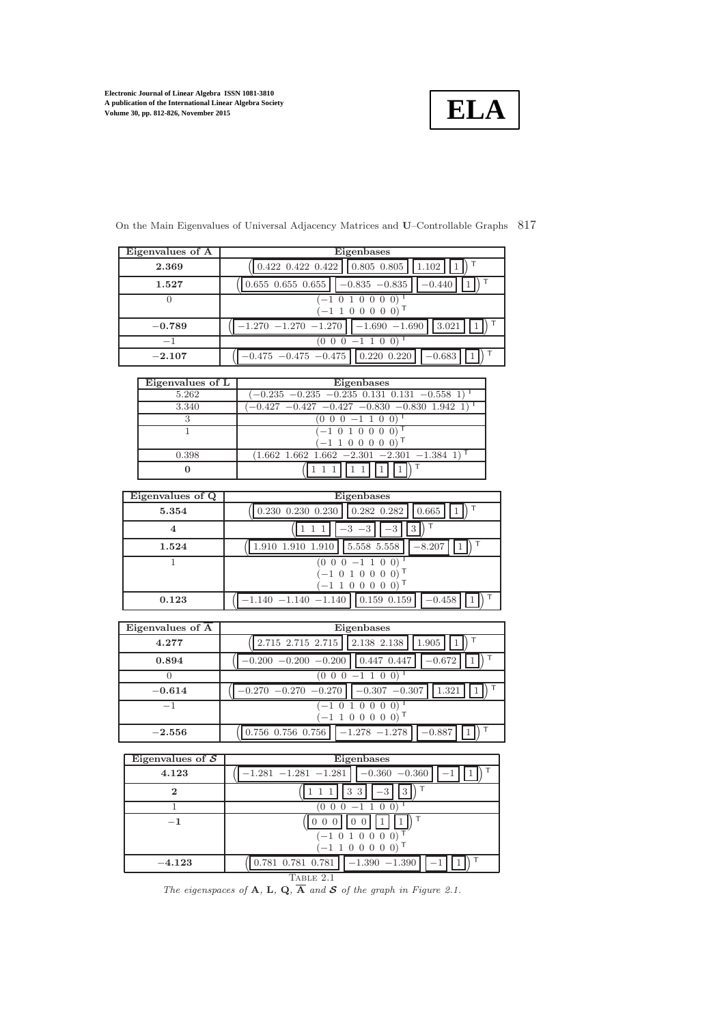

| Eigenvalues of A | Eigenbases                                                            |
|------------------|-----------------------------------------------------------------------|
| 2.369            | $0.422$ $0.422$ $0.422$ $0.805$ $0.805$<br>1.102                      |
| 1.527            | $0.655$ $0.655$ $0.655$ $\vert$ $\vert$ $-0.835$ $-0.835$<br>$-0.440$ |
|                  | $(-1\ \overline{0\ 1\ 0\ 0\ 0\ 0})$                                   |
|                  | $-1$ 1 0 0 0 0 0)                                                     |
| $-0.789$         | $-1.690 -1.690$ 3.021<br>$-1.270 -1.270 -1.270$                       |
| $-1$             | $(0\; 0\; 0\; -1\; 1\; 0\; 0)$                                        |
| $^{-2.107}$      | $-0.475 -0.475 -0.475$   0.220 0.220<br>$-0.683$                      |

On the Main Eigenvalues of Universal Adjacency Matrices and U–Controllable Graphs 817

Eigenvalues of L Eigenbases 5.262 (−0.235 −0.235 −0.235 0.131 0.131 −0.558 1) <sup>T</sup>  $\left(-0.427 - 0.427 - 0.427 - 0.830 - 0.830 \right] 1.942 1$  $\begin{array}{c|c|c|c|c} 3 & (0 & 0 & -1 & 1 & 0 & 0) \\ \hline 1 & & (-1 & 0 & 1 & 0 & 0 & 0) \end{array}$  $( -1 0 1 0 0 0 0)$  $(-1 1 0 0 0 0 0)^{\top}$  $(1.662 \t1.662 \t1.662 \t-2.301 \t-2.301 \t-1.384 \t1)$ 0  $\sqrt{ }$ 1 1 1 1 1 1  $\setminus$  $\overline{\mathsf{T}}$ 

| Eigenvalues of Q | Eigenbases                                       |
|------------------|--------------------------------------------------|
|                  |                                                  |
| 5.354            | $0.230$ $0.230$ $0.230$ $0.282$ $0.282$<br>0.665 |
|                  |                                                  |
| 1.524            | 5.558 5.558<br>$-8.207$<br>1.910 1.910 1.910     |
|                  | $(0 0 0 -1 1 0 0)$                               |
|                  | $(-1 0 1 0 0 0 0)$                               |
|                  | $(-1 1 0 0 0 0 0)$                               |
| 0.123            | $-1.140 -1.140 -1.140$   0.159 0.159<br>$-0.458$ |

| Eigenvalues of A | Eigenbases                                              |
|------------------|---------------------------------------------------------|
| 4.277            | $2.715$ $2.715$ $2.715$ $\mid$ $2.138$ $2.138$<br>1.905 |
| 0.894            | $-0.200 -0.200 -0.200$   0.447 0.447<br>$-0.672$        |
|                  | $(0\; 0\; 0\; -1\; 1\; 0\; 0)$                          |
| $-0.614$         | $-0.270 -0.270 -0.270$<br>$-0.307 -0.307$<br>1.321      |
| $-1$             | $(-1 0 1 0 0 0 0)$                                      |
|                  | $(-1 1 0 0 0 0 0)$                                      |
| $-2.556$         | $-1.278 -1.278$<br>$-0.887$<br>0.756 0.756 0.756        |

| Eigenvalues of $S$ | Eigenbases                                 |  |
|--------------------|--------------------------------------------|--|
| 4.123              | $-0.360 -0.360$<br>$-1.281 -1.281 -1.281$  |  |
| $\bf{2}$           | 3<br>3                                     |  |
|                    | $0\;0\; -1\;1\;0\;0$                       |  |
| $^{-1}$            | $(-1 0 1 0 0 0 0)$<br>$(-1 1 0 0 0 0 0)$   |  |
| $-4.123$           | $0.781$ $0.781$ $0.781$<br>$-1.390 -1.390$ |  |
| Table 2.1          |                                            |  |

<span id="page-5-0"></span>The eigenspaces of A, L, Q,  $\overline{A}$  and S of the graph in Figure [2.1.](#page-14-6)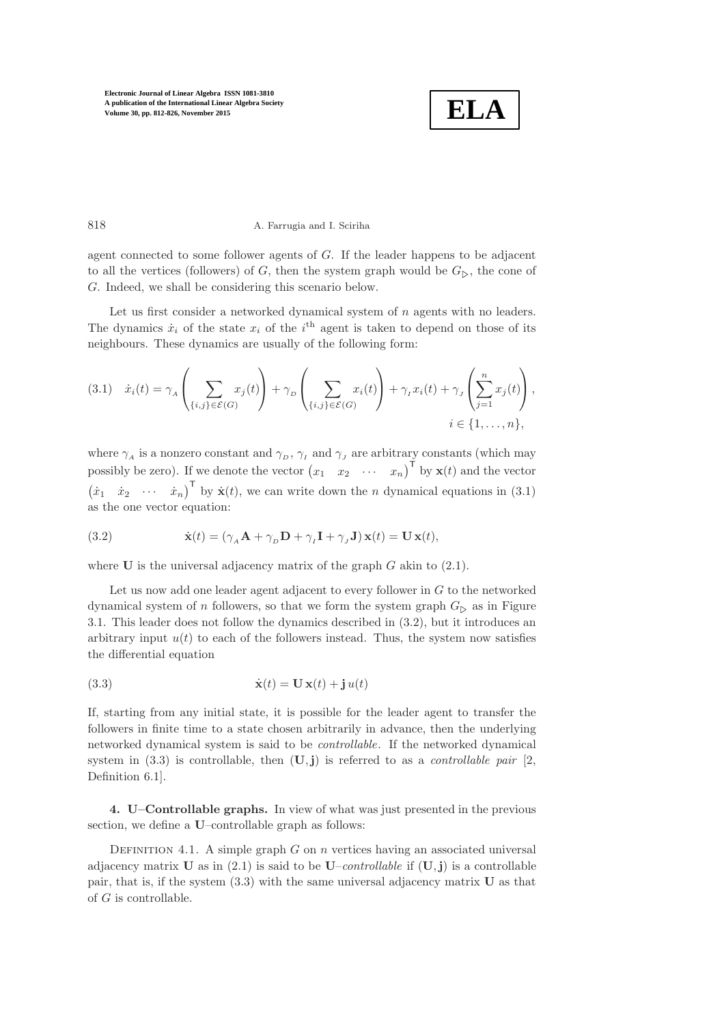

### 818 A. Farrugia and I. Sciriha

agent connected to some follower agents of G. If the leader happens to be adjacent to all the vertices (followers) of G, then the system graph would be  $G_{\triangleright}$ , the cone of G. Indeed, we shall be considering this scenario below.

Let us first consider a networked dynamical system of  $n$  agents with no leaders. The dynamics  $\dot{x}_i$  of the state  $x_i$  of the i<sup>th</sup> agent is taken to depend on those of its neighbours. These dynamics are usually of the following form:

<span id="page-6-1"></span>
$$
(3.1) \quad \dot{x}_i(t) = \gamma_A \left( \sum_{\{i,j\} \in \mathcal{E}(G)} x_j(t) \right) + \gamma_D \left( \sum_{\{i,j\} \in \mathcal{E}(G)} x_i(t) \right) + \gamma_I x_i(t) + \gamma_J \left( \sum_{j=1}^n x_j(t) \right),
$$
\n
$$
i \in \{1, \dots, n\},
$$

where  $\gamma_{\scriptscriptstyle{A}}$  is a nonzero constant and  $\gamma_{\scriptscriptstyle{D}} ,$   $\gamma_{\scriptscriptstyle{I}}$  and  $\gamma_{\scriptscriptstyle{J}}$  are arbitrary constants (which may possibly be zero). If we denote the vector  $(x_1, x_2, \cdots, x_n)^\mathsf{T}$  by  $\mathbf{x}(t)$  and the vector  $(\dot{x}_1 \quad \dot{x}_2 \quad \cdots \quad \dot{x}_n)^{\mathsf{T}}$  by  $\dot{\mathbf{x}}(t)$ , we can write down the *n* dynamical equations in [\(3.1\)](#page-6-1) as the one vector equation:

<span id="page-6-2"></span>(3.2) 
$$
\dot{\mathbf{x}}(t) = (\gamma_A \mathbf{A} + \gamma_D \mathbf{D} + \gamma_I \mathbf{I} + \gamma_J \mathbf{J}) \mathbf{x}(t) = \mathbf{U} \mathbf{x}(t),
$$

where  $U$  is the universal adjacency matrix of the graph  $G$  akin to  $(2.1)$ .

Let us now add one leader agent adjacent to every follower in  $G$  to the networked dynamical system of n followers, so that we form the system graph  $G_{\triangleright}$  as in Figure [3.1.](#page-14-6) This leader does not follow the dynamics described in [\(3.2\)](#page-6-2), but it introduces an arbitrary input  $u(t)$  to each of the followers instead. Thus, the system now satisfies the differential equation

<span id="page-6-3"></span>(3.3) 
$$
\dot{\mathbf{x}}(t) = \mathbf{U}\,\mathbf{x}(t) + \mathbf{j}\,u(t)
$$

If, starting from any initial state, it is possible for the leader agent to transfer the followers in finite time to a state chosen arbitrarily in advance, then the underlying networked dynamical system is said to be *controllable*. If the networked dynamical system in  $(3.3)$  is controllable, then  $(U, j)$  is referred to as a *controllable pair*  $[2, j)$  $[2, j)$ Definition 6.1].

<span id="page-6-0"></span>4. U–Controllable graphs. In view of what was just presented in the previous section, we define a U–controllable graph as follows:

DEFINITION 4.1. A simple graph  $G$  on  $n$  vertices having an associated universal adjacency matrix **U** as in [\(2.1\)](#page-1-1) is said to be  $U$ –*controllable* if  $(U, j)$  is a controllable pair, that is, if the system [\(3.3\)](#page-6-3) with the same universal adjacency matrix U as that of  $G$  is controllable.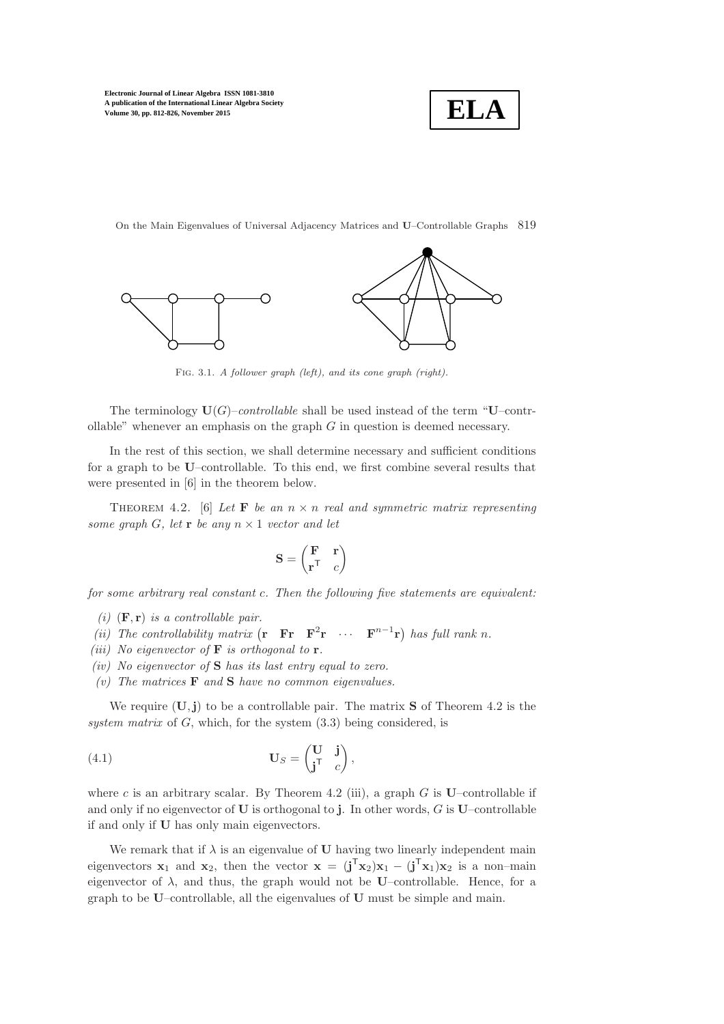

On the Main Eigenvalues of Universal Adjacency Matrices and U–Controllable Graphs 819



Fig. 3.1. A follower graph (left), and its cone graph (right).

The terminology  $U(G)$ –*controllable* shall be used instead of the term "U–controllable" whenever an emphasis on the graph  $G$  in question is deemed necessary.

In the rest of this section, we shall determine necessary and sufficient conditions for a graph to be U–controllable. To this end, we first combine several results that were presented in [\[6\]](#page-14-4) in the theorem below.

<span id="page-7-0"></span>THEOREM 4.2. [\[6\]](#page-14-4) Let **F** be an  $n \times n$  real and symmetric matrix representing *some graph* G, let **r** *be any*  $n \times 1$  *vector and let* 

$$
\mathbf{S} = \begin{pmatrix} \mathbf{F} & \mathbf{r} \\ \mathbf{r}^{\mathsf{T}} & c \end{pmatrix}
$$

*for some arbitrary real constant* c*. Then the following five statements are equivalent:*

- *(i)*  $(\mathbf{F}, \mathbf{r})$  *is a controllable pair.*
- *(ii)* The controllability matrix  $(\mathbf{r} \ \mathbf{F} \mathbf{r} \ \mathbf{F}^2 \mathbf{r} \ \cdots \ \mathbf{F}^{n-1} \mathbf{r})$  has full rank n.
- *(iii) No eigenvector of* F *is orthogonal to* r*.*
- *(iv) No eigenvector of* S *has its last entry equal to zero.*
- *(v) The matrices* F *and* S *have no common eigenvalues.*

We require  $(U, j)$  to be a controllable pair. The matrix **S** of Theorem [4.2](#page-7-0) is the *system matrix* of G, which, for the system [\(3.3\)](#page-6-3) being considered, is

<span id="page-7-1"></span>(4.1) 
$$
\mathbf{U}_S = \begin{pmatrix} \mathbf{U} & \mathbf{j} \\ \mathbf{j}^{\mathsf{T}} & c \end{pmatrix},
$$

where c is an arbitrary scalar. By Theorem [4.2](#page-7-0) (iii), a graph  $G$  is U–controllable if and only if no eigenvector of  $U$  is orthogonal to j. In other words,  $G$  is  $U$ –controllable if and only if U has only main eigenvectors.

We remark that if  $\lambda$  is an eigenvalue of U having two linearly independent main eigenvectors  $x_1$  and  $x_2$ , then the vector  $x = (j^T x_2)x_1 - (j^T x_1)x_2$  is a non-main eigenvector of  $\lambda$ , and thus, the graph would not be U–controllable. Hence, for a graph to be U–controllable, all the eigenvalues of U must be simple and main.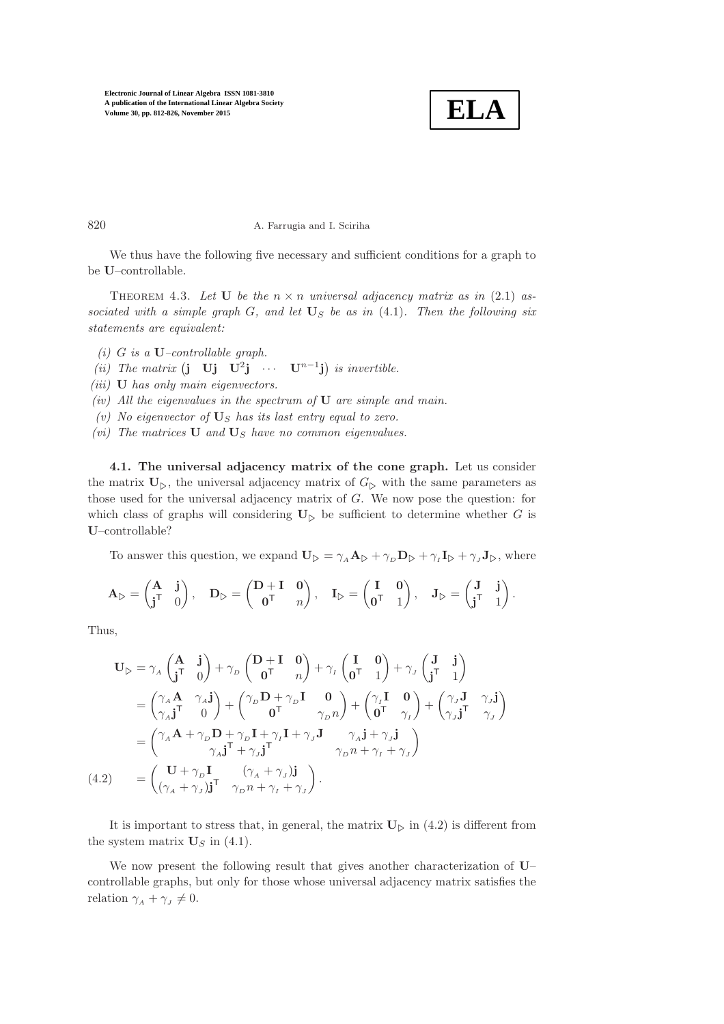

.

820 A. Farrugia and I. Sciriha

<span id="page-8-1"></span>We thus have the following five necessary and sufficient conditions for a graph to be U–controllable.

THEOREM 4.3. Let **U** be the  $n \times n$  universal adjacency matrix as in [\(2.1\)](#page-1-1) associated with a simple graph  $G$ , and let  $\mathbf{U}_S$  be as in  $(4.1)$ *. Then the following six statements are equivalent:*

- *(i)* G *is a* U*–controllable graph.*
- *(ii)* The matrix  $(j \textbf{U} j \textbf{U}^2 j \cdots \textbf{U}^{n-1} j)$  is invertible.
- *(iii)* U *has only main eigenvectors.*
- *(iv) All the eigenvalues in the spectrum of* U *are simple and main.*
- $(v)$  *No eigenvector of*  $\mathbf{U}_S$  *has its last entry equal to zero.*
- *(vi)* The matrices **U** and  $\mathbf{U}_S$  have no common eigenvalues.

4.1. The universal adjacency matrix of the cone graph. Let us consider the matrix  $U_{\triangleright}$ , the universal adjacency matrix of  $G_{\triangleright}$  with the same parameters as those used for the universal adjacency matrix of G. We now pose the question: for which class of graphs will considering  $\mathbf{U}_{\triangleright}$  be sufficient to determine whether G is U–controllable?

To answer this question, we expand  $\mathbf{U}_{\triangleright} = \gamma_A \mathbf{A}_{\triangleright} + \gamma_D \mathbf{D}_{\triangleright} + \gamma_I \mathbf{I}_{\triangleright} + \gamma_J \mathbf{J}_{\triangleright}$ , where

$$
\mathbf{A}_{\triangleright} = \begin{pmatrix} \mathbf{A} & \mathbf{j} \\ \mathbf{j}^{\mathsf{T}} & 0 \end{pmatrix}, \quad \mathbf{D}_{\triangleright} = \begin{pmatrix} \mathbf{D} + \mathbf{I} & \mathbf{0} \\ \mathbf{0}^{\mathsf{T}} & n \end{pmatrix}, \quad \mathbf{I}_{\triangleright} = \begin{pmatrix} \mathbf{I} & \mathbf{0} \\ \mathbf{0}^{\mathsf{T}} & 1 \end{pmatrix}, \quad \mathbf{J}_{\triangleright} = \begin{pmatrix} \mathbf{J} & \mathbf{j} \\ \mathbf{j}^{\mathsf{T}} & 1 \end{pmatrix}
$$

Thus,

<span id="page-8-0"></span>
$$
\mathbf{U}_{\triangleright} = \gamma_{A} \begin{pmatrix} \mathbf{A} & \mathbf{j} \\ \mathbf{j}^{\mathsf{T}} & 0 \end{pmatrix} + \gamma_{D} \begin{pmatrix} \mathbf{D} + \mathbf{I} & \mathbf{0} \\ \mathbf{0}^{\mathsf{T}} & n \end{pmatrix} + \gamma_{I} \begin{pmatrix} \mathbf{I} & \mathbf{0} \\ \mathbf{0}^{\mathsf{T}} & 1 \end{pmatrix} + \gamma_{J} \begin{pmatrix} \mathbf{J} & \mathbf{j} \\ \mathbf{j}^{\mathsf{T}} & 1 \end{pmatrix}
$$
  
\n
$$
= \begin{pmatrix} \gamma_{A} \mathbf{A} & \gamma_{A} \mathbf{j} \\ \gamma_{A} \mathbf{j}^{\mathsf{T}} & 0 \end{pmatrix} + \begin{pmatrix} \gamma_{D} \mathbf{D} + \gamma_{D} \mathbf{I} & \mathbf{0} \\ \mathbf{0}^{\mathsf{T}} & \gamma_{D} n \end{pmatrix} + \begin{pmatrix} \gamma_{I} \mathbf{I} & \mathbf{0} \\ \mathbf{0}^{\mathsf{T}} & \gamma_{I} \end{pmatrix} + \begin{pmatrix} \gamma_{J} \mathbf{J} & \gamma_{J} \mathbf{j} \\ \gamma_{J} \mathbf{j}^{\mathsf{T}} & \gamma_{J} \end{pmatrix}
$$
  
\n
$$
= \begin{pmatrix} \gamma_{A} \mathbf{A} + \gamma_{D} \mathbf{D} + \gamma_{D} \mathbf{I} + \gamma_{I} \mathbf{I} + \gamma_{J} \mathbf{J} & \gamma_{A} \mathbf{j} + \gamma_{J} \mathbf{j} \\ \gamma_{A} \mathbf{j}^{\mathsf{T}} + \gamma_{J} \mathbf{j}^{\mathsf{T}} & \gamma_{D} n + \gamma_{I} + \gamma_{J} \end{pmatrix}
$$
  
\n(4.2) 
$$
= \begin{pmatrix} \mathbf{U} + \gamma_{D} \mathbf{I} & (\gamma_{A} + \gamma_{J}) \mathbf{j} \\ (\gamma_{A} + \gamma_{J}) \mathbf{j}^{\mathsf{T}} & \gamma_{D} n + \gamma_{I} + \gamma_{J} \end{pmatrix}.
$$

It is important to stress that, in general, the matrix  $U_{\triangleright}$  in [\(4.2\)](#page-8-0) is different from the system matrix  $\mathbf{U}_S$  in [\(4.1\)](#page-7-1).

We now present the following result that gives another characterization of U– controllable graphs, but only for those whose universal adjacency matrix satisfies the relation  $\gamma_A + \gamma_J \neq 0$ .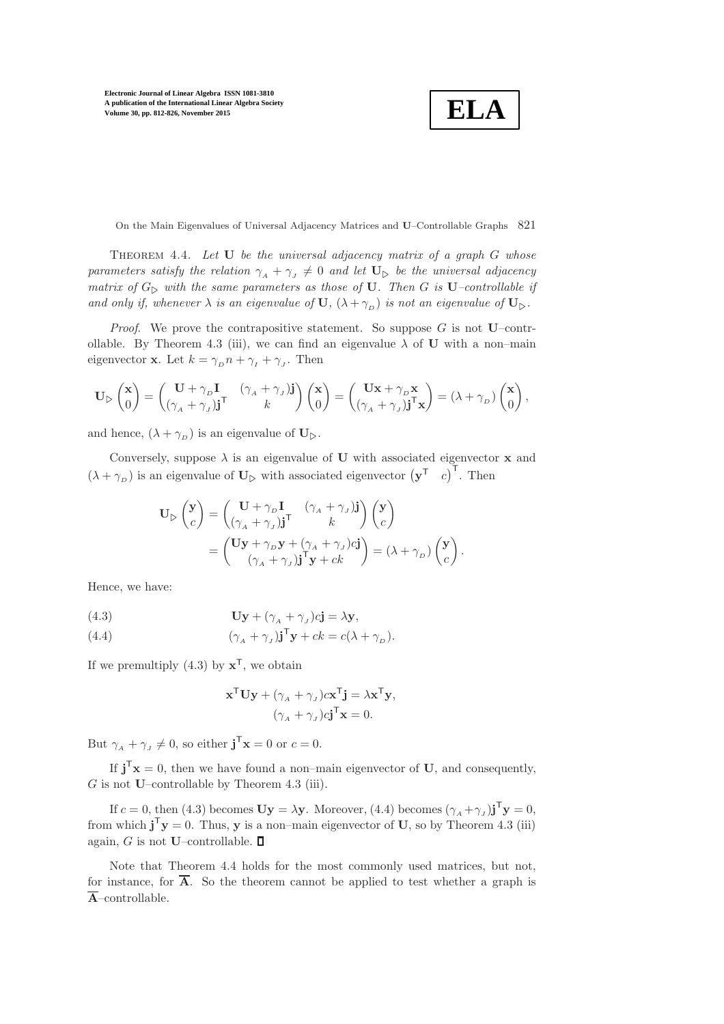$$
\boxed{\textbf{ELA}}
$$

On the Main Eigenvalues of Universal Adjacency Matrices and U–Controllable Graphs 821

<span id="page-9-1"></span>Theorem 4.4. *Let* U *be the universal adjacency matrix of a graph* G *whose parameters satisfy the relation*  $\gamma_A + \gamma_J \neq 0$  *and let*  $\mathbf{U}_{\triangleright}$  *be the universal adjacency matrix of*  $G_{\triangleright}$  *with the same parameters as those of* **U***. Then G is* **U**–*controllable if and only if, whenever*  $\lambda$  *is an eigenvalue of*  $\mathbf{U}$ *,*  $(\lambda + \gamma_D)$  *is not an eigenvalue of*  $\mathbf{U}_{\triangleright}$ *.* 

*Proof.* We prove the contrapositive statement. So suppose  $G$  is not U–contr-ollable. By Theorem [4.3](#page-8-1) (iii), we can find an eigenvalue  $\lambda$  of U with a non–main eigenvector **x**. Let  $k = \gamma_D n + \gamma_I + \gamma_J$ . Then

$$
\mathbf{U}_{\triangleright} \begin{pmatrix} \mathbf{x} \\ 0 \end{pmatrix} = \begin{pmatrix} \mathbf{U} + \gamma_D \mathbf{I} & (\gamma_A + \gamma_J) \mathbf{j} \\ (\gamma_A + \gamma_J) \mathbf{j}^\mathsf{T} & k \end{pmatrix} \begin{pmatrix} \mathbf{x} \\ 0 \end{pmatrix} = \begin{pmatrix} \mathbf{U}\mathbf{x} + \gamma_D \mathbf{x} \\ (\gamma_A + \gamma_J) \mathbf{j}^\mathsf{T}\mathbf{x} \end{pmatrix} = (\lambda + \gamma_D) \begin{pmatrix} \mathbf{x} \\ 0 \end{pmatrix},
$$

and hence,  $(\lambda + \gamma_D)$  is an eigenvalue of  $\mathbf{U}_{\triangleright}$ .

Conversely, suppose  $\lambda$  is an eigenvalue of U with associated eigenvector **x** and  $(\lambda + \gamma_D)$  is an eigenvalue of  $\mathbf{U}_{\triangleright}$  with associated eigenvector  $(\mathbf{y}^T \quad c)^T$ . Then

$$
\mathbf{U}_{\triangleright} \begin{pmatrix} \mathbf{y} \\ c \end{pmatrix} = \begin{pmatrix} \mathbf{U} + \gamma_{D} \mathbf{I} & (\gamma_{A} + \gamma_{J}) \mathbf{j} \\ (\gamma_{A} + \gamma_{J}) \mathbf{j}^{\mathsf{T}} & k \end{pmatrix} \begin{pmatrix} \mathbf{y} \\ c \end{pmatrix}
$$

$$
= \begin{pmatrix} \mathbf{U}\mathbf{y} + \gamma_{D}\mathbf{y} + (\gamma_{A} + \gamma_{J})c\mathbf{j} \\ (\gamma_{A} + \gamma_{J})\mathbf{j}^{\mathsf{T}}\mathbf{y} + ck \end{pmatrix} = (\lambda + \gamma_{D}) \begin{pmatrix} \mathbf{y} \\ c \end{pmatrix}.
$$

Hence, we have:

(4.3) 
$$
\mathbf{U}\mathbf{y} + (\gamma_A + \gamma_J)c\mathbf{j} = \lambda\mathbf{y},
$$

(4.4) 
$$
(\gamma_A + \gamma_J)\mathbf{j}^{\mathsf{T}}\mathbf{y} + ck = c(\lambda + \gamma_D).
$$

If we premultiply  $(4.3)$  by  $\mathbf{x}^{\mathsf{T}}$ , we obtain

<span id="page-9-0"></span>
$$
\mathbf{x}^{\mathsf{T}} \mathbf{U} \mathbf{y} + (\gamma_A + \gamma_J) c \mathbf{x}^{\mathsf{T}} \mathbf{j} = \lambda \mathbf{x}^{\mathsf{T}} \mathbf{y},
$$

$$
(\gamma_A + \gamma_J) c \mathbf{j}^{\mathsf{T}} \mathbf{x} = 0.
$$

But  $\gamma_A + \gamma_J \neq 0$ , so either  $\mathbf{j}^{\mathsf{T}} \mathbf{x} = 0$  or  $c = 0$ .

If  $\mathbf{j}^T \mathbf{x} = 0$ , then we have found a non-main eigenvector of U, and consequently,  $G$  is not U–controllable by Theorem [4.3](#page-8-1) (iii).

If  $c = 0$ , then [\(4.3\)](#page-9-0) becomes  $\mathbf{Uy} = \lambda \mathbf{y}$ . Moreover, [\(4.4\)](#page-9-0) becomes  $(\gamma_A + \gamma_J) \mathbf{j}^\mathsf{T} \mathbf{y} = 0$ , from which  $\mathbf{j}^T \mathbf{y} = 0$ . Thus, y is a non-main eigenvector of U, so by Theorem [4.3](#page-8-1) (iii) again, G is not U–controllable.  $\square$ 

Note that Theorem [4.4](#page-9-1) holds for the most commonly used matrices, but not, for instance, for  $\overline{A}$ . So the theorem cannot be applied to test whether a graph is  $\overline{A}$ –controllable.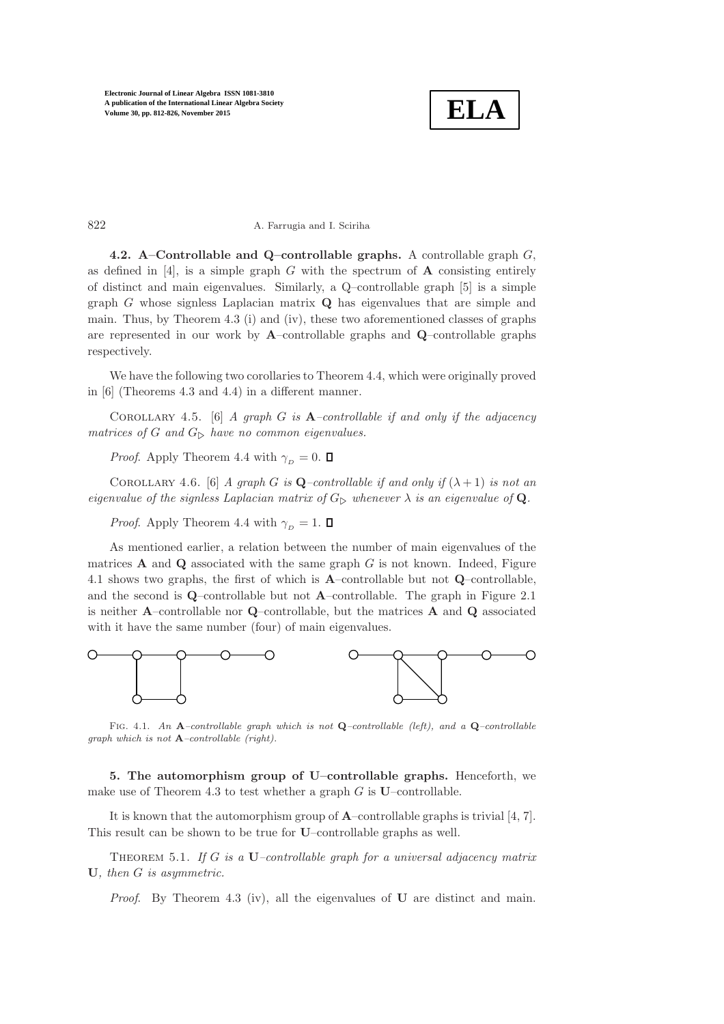

822 A. Farrugia and I. Sciriha

4.2. A–Controllable and Q–controllable graphs. A controllable graph  $G$ , as defined in  $[4]$ , is a simple graph G with the spectrum of **A** consisting entirely of distinct and main eigenvalues. Similarly, a Q–controllable graph [\[5\]](#page-14-9) is a simple graph  $G$  whose signless Laplacian matrix  $Q$  has eigenvalues that are simple and main. Thus, by Theorem [4.3](#page-8-1) (i) and (iv), these two aforementioned classes of graphs are represented in our work by A–controllable graphs and Q–controllable graphs respectively.

We have the following two corollaries to Theorem [4.4,](#page-9-1) which were originally proved in [\[6\]](#page-14-4) (Theorems 4.3 and 4.4) in a different manner.

Corollary 4.5. [\[6\]](#page-14-4) *A graph* G *is* A*–controllable if and only if the adjacency matrices of* G and  $G_{\triangleright}$  *have no common eigenvalues.* 

*Proof.* Apply Theorem [4.4](#page-9-1) with  $\gamma_D = 0$ .  $\Box$ 

COROLLARY 4.6. [\[6\]](#page-14-4) *A graph G is* **Q**–controllable if and only if  $(\lambda + 1)$  *is not an eigenvalue of the signless Laplacian matrix of*  $G_{\triangleright}$  *whenever*  $\lambda$  *is an eigenvalue of* **Q**.

*Proof.* Apply Theorem [4.4](#page-9-1) with  $\gamma_D = 1$ .  $\Box$ 

As mentioned earlier, a relation between the number of main eigenvalues of the matrices  $A$  and  $Q$  associated with the same graph  $G$  is not known. Indeed, Figure [4.1](#page-14-6) shows two graphs, the first of which is A–controllable but not Q–controllable, and the second is  $Q$ –controllable but not  $A$ –controllable. The graph in Figure [2.1](#page-14-6) is neither A–controllable nor Q–controllable, but the matrices A and Q associated with it have the same number (four) of main eigenvalues.



FIG. 4.1. An A-controllable graph which is not Q-controllable (left), and a Q-controllable graph which is not  $A$ -controllable (right).

<span id="page-10-0"></span>5. The automorphism group of U–controllable graphs. Henceforth, we make use of Theorem [4.3](#page-8-1) to test whether a graph  $G$  is U–controllable.

<span id="page-10-1"></span>It is known that the automorphism group of A–controllable graphs is trivial [\[4,](#page-14-8) [7\]](#page-14-10). This result can be shown to be true for U–controllable graphs as well.

Theorem 5.1. *If* G *is a* U*–controllable graph for a universal adjacency matrix* U*, then* G *is asymmetric.*

*Proof*. By Theorem [4.3](#page-8-1) (iv), all the eigenvalues of U are distinct and main.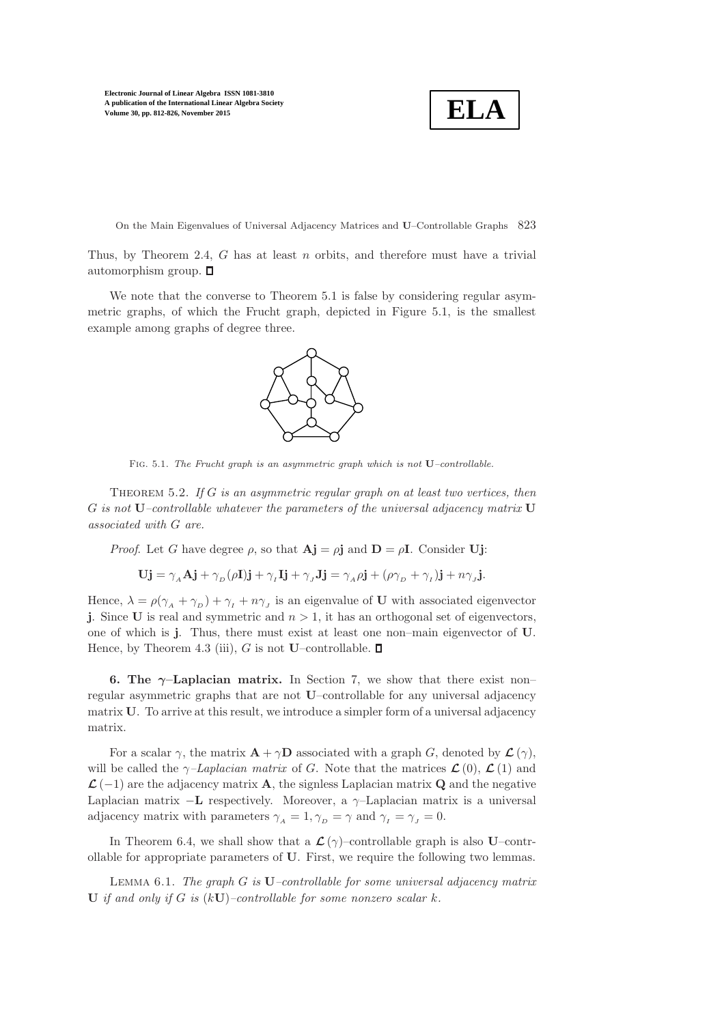**ELA**

On the Main Eigenvalues of Universal Adjacency Matrices and U–Controllable Graphs 823

Thus, by Theorem [2.4,](#page-3-1)  $G$  has at least  $n$  orbits, and therefore must have a trivial automorphism group.  $\square$ 

We note that the converse to Theorem [5.1](#page-10-1) is false by considering regular asymmetric graphs, of which the Frucht graph, depicted in Figure [5.1,](#page-14-6) is the smallest example among graphs of degree three.



FIG. 5.1. The Frucht graph is an asymmetric graph which is not  $U$ –controllable.

<span id="page-11-2"></span>Theorem 5.2. *If* G *is an asymmetric regular graph on at least two vertices, then* G *is not* U*–controllable whatever the parameters of the universal adjacency matrix* U *associated with* G *are.*

*Proof.* Let G have degree  $\rho$ , so that  $\mathbf{A} \mathbf{j} = \rho \mathbf{j}$  and  $\mathbf{D} = \rho \mathbf{I}$ . Consider Uj:

$$
Uj = \gamma_A Aj + \gamma_D (\rho I)j + \gamma_I Ij + \gamma_J Jj = \gamma_A \rho j + (\rho \gamma_D + \gamma_I)j + n \gamma_J j.
$$

Hence,  $\lambda = \rho(\gamma_A + \gamma_D) + \gamma_I + n\gamma_J$  is an eigenvalue of U with associated eigenvector j. Since U is real and symmetric and  $n > 1$ , it has an orthogonal set of eigenvectors, one of which is j. Thus, there must exist at least one non–main eigenvector of U. Hence, by Theorem [4.3](#page-8-1) (iii), G is not U–controllable.  $\square$ 

<span id="page-11-0"></span>6. The  $\gamma$ -Laplacian matrix. In Section [7,](#page-13-0) we show that there exist non– regular asymmetric graphs that are not U–controllable for any universal adjacency matrix U. To arrive at this result, we introduce a simpler form of a universal adjacency matrix.

For a scalar  $\gamma$ , the matrix  $\mathbf{A} + \gamma \mathbf{D}$  associated with a graph G, denoted by  $\mathcal{L}(\gamma)$ , will be called the  $\gamma$ *–Laplacian matrix* of G. Note that the matrices  $\mathcal{L}(0)$ ,  $\mathcal{L}(1)$  and  $\mathcal{L}(-1)$  are the adjacency matrix **A**, the signless Laplacian matrix **Q** and the negative Laplacian matrix  $-\mathbf{L}$  respectively. Moreover, a  $\gamma$ -Laplacian matrix is a universal adjacency matrix with parameters  $\gamma_A = 1, \gamma_D = \gamma$  and  $\gamma_I = \gamma_J = 0$ .

<span id="page-11-1"></span>In Theorem [6.4,](#page-12-0) we shall show that a  $\mathcal{L}(\gamma)$ –controllable graph is also U–controllable for appropriate parameters of U. First, we require the following two lemmas.

Lemma 6.1. *The graph* G *is* U*–controllable for some universal adjacency matrix* U *if and only if* G *is* (kU)*–controllable for some nonzero scalar* k*.*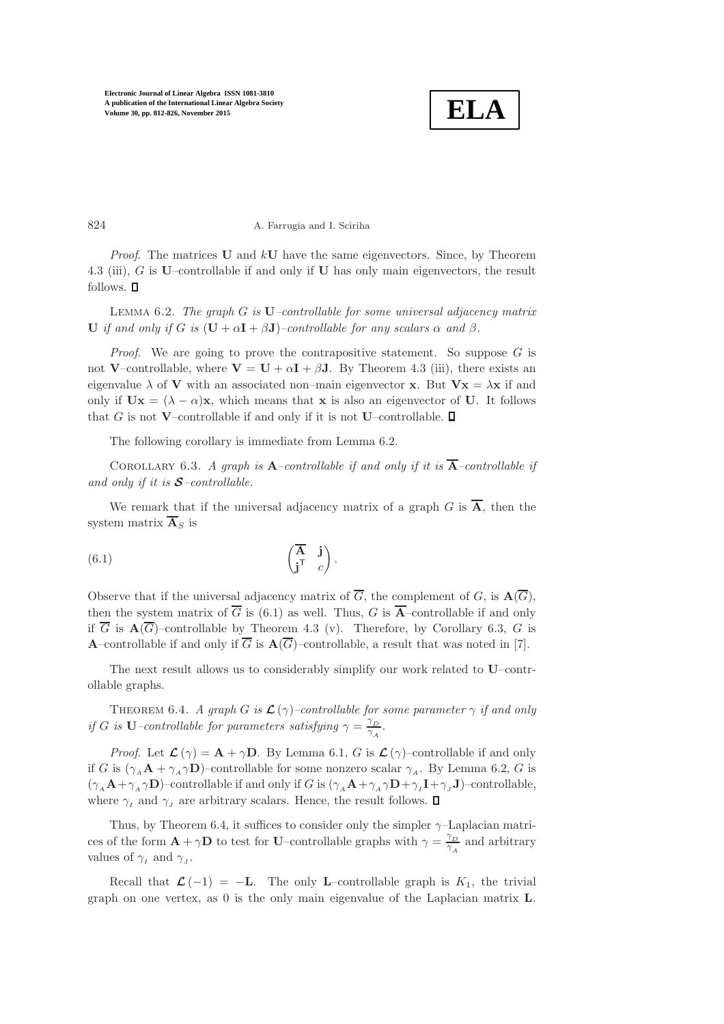

## 824 A. Farrugia and I. Sciriha

*Proof.* The matrices  $U$  and  $kU$  have the same eigenvectors. Since, by Theorem [4.3](#page-8-1) (iii),  $G$  is U–controllable if and only if U has only main eigenvectors, the result follows.  $\square$ 

<span id="page-12-1"></span>Lemma 6.2. *The graph* G *is* U*–controllable for some universal adjacency matrix* U *if and only if* G *is*  $(U + \alpha I + \beta J)$ *–controllable for any scalars*  $\alpha$  *and*  $\beta$ *.* 

*Proof.* We are going to prove the contrapositive statement. So suppose G is not V–controllable, where  $V = U + \alpha I + \beta J$ . By Theorem [4.3](#page-8-1) (iii), there exists an eigenvalue  $\lambda$  of **V** with an associated non–main eigenvector **x**. But  $Vx = \lambda x$  if and only if  $Ux = (\lambda - \alpha)x$ , which means that x is also an eigenvector of U. It follows that G is not V–controllable if and only if it is not U–controllable.  $\square$ 

<span id="page-12-3"></span>The following corollary is immediate from Lemma [6.2.](#page-12-1)

COROLLARY 6.3. *A graph is*  $\mathbf{A}$ *–controllable if and only if it is*  $\overline{\mathbf{A}}$ *–controllable if and only if it is* S*–controllable.*

<span id="page-12-2"></span>We remark that if the universal adjacency matrix of a graph G is  $\overline{A}$ , then the system matrix  $\overline{\mathbf{A}}_S$  is

(6.1) 
$$
\begin{pmatrix} \overline{A} & \mathbf{j} \\ \mathbf{j}^{\mathsf{T}} & c \end{pmatrix}.
$$

Observe that if the universal adjacency matrix of  $\overline{G}$ , the complement of G, is  $\mathbf{A}(\overline{G})$ , then the system matrix of  $\overline{G}$  is [\(6.1\)](#page-12-2) as well. Thus, G is  $\overline{A}$ -controllable if and only if  $\overline{G}$  is  $\mathbf{A}(\overline{G})$ -controllable by Theorem [4.3](#page-8-1) (v). Therefore, by Corollary [6.3,](#page-12-3) G is A–controllable if and only if  $\overline{G}$  is  $\mathbf{A}(\overline{G})$ –controllable, a result that was noted in [\[7\]](#page-14-10).

<span id="page-12-0"></span>The next result allows us to considerably simplify our work related to U–controllable graphs.

THEOREM 6.4. *A graph G is*  $\mathcal{L}(\gamma)$ –controllable for some parameter  $\gamma$  *if and only if* G *is* U–controllable for parameters satisfying  $\gamma = \frac{\gamma_D}{\gamma}$  $\frac{p}{\gamma_A}$ .

*Proof.* Let  $\mathcal{L}(\gamma) = \mathbf{A} + \gamma \mathbf{D}$ . By Lemma [6.1,](#page-11-1) G is  $\mathcal{L}(\gamma)$ –controllable if and only if G is  $(\gamma_A \mathbf{A} + \gamma_A \gamma \mathbf{D})$ –controllable for some nonzero scalar  $\gamma_A$ . By Lemma [6.2,](#page-12-1) G is  $(\gamma_A \mathbf{A} + \gamma_A \gamma \mathbf{D})$ -controllable if and only if G is  $(\gamma_A \mathbf{A} + \gamma_A \gamma \mathbf{D} + \gamma_I \mathbf{I} + \gamma_J \mathbf{J})$ -controllable, where  $\gamma_I$  and  $\gamma_J$  are arbitrary scalars. Hence, the result follows.  $\Box$ 

Thus, by Theorem [6.4,](#page-12-0) it suffices to consider only the simpler  $\gamma$ -Laplacian matrices of the form  $\mathbf{A} + \gamma \mathbf{D}$  to test for U–controllable graphs with  $\gamma = \frac{\gamma}{\gamma}$  $\frac{\gamma_D}{\gamma_A}$  and arbitrary values of  $\gamma_I$  and  $\gamma_J$ .

Recall that  $\mathcal{L}(-1) = -L$ . The only L–controllable graph is  $K_1$ , the trivial graph on one vertex, as 0 is the only main eigenvalue of the Laplacian matrix L.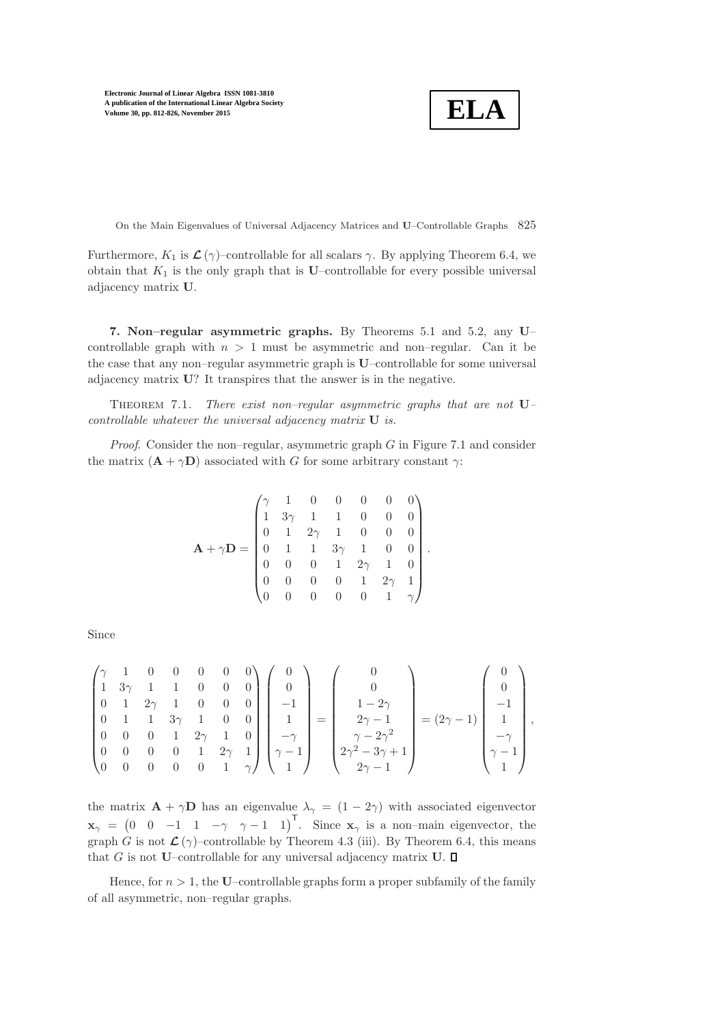$$
\boxed{\textbf{ELA}}
$$

On the Main Eigenvalues of Universal Adjacency Matrices and U–Controllable Graphs 825

Furthermore,  $K_1$  is  $\mathcal{L}(\gamma)$ –controllable for all scalars  $\gamma$ . By applying Theorem [6.4,](#page-12-0) we obtain that  $K_1$  is the only graph that is U–controllable for every possible universal adjacency matrix U.

<span id="page-13-0"></span>7. Non–regular asymmetric graphs. By Theorems [5.1](#page-10-1) and [5.2,](#page-11-2) any U– controllable graph with  $n > 1$  must be asymmetric and non-regular. Can it be the case that any non–regular asymmetric graph is U–controllable for some universal adjacency matrix U? It transpires that the answer is in the negative.

<span id="page-13-1"></span>Theorem 7.1. *There exist non–regular asymmetric graphs that are not* U*– controllable whatever the universal adjacency matrix* U *is.*

*Proof.* Consider the non–regular, asymmetric graph G in Figure [7.1](#page-14-6) and consider the matrix  $(\mathbf{A} + \gamma \mathbf{D})$  associated with G for some arbitrary constant  $\gamma$ :

$$
\mathbf{A} + \gamma \mathbf{D} = \begin{pmatrix} \gamma & 1 & 0 & 0 & 0 & 0 & 0 \\ 1 & 3\gamma & 1 & 1 & 0 & 0 & 0 \\ 0 & 1 & 2\gamma & 1 & 0 & 0 & 0 \\ 0 & 1 & 1 & 3\gamma & 1 & 0 & 0 \\ 0 & 0 & 0 & 1 & 2\gamma & 1 & 0 \\ 0 & 0 & 0 & 0 & 1 & 2\gamma & 1 \\ 0 & 0 & 0 & 0 & 0 & 1 & \gamma \end{pmatrix}.
$$

Since

$$
\begin{pmatrix} \gamma & 1 & 0 & 0 & 0 & 0 & 0 \\ 1 & 3\gamma & 1 & 1 & 0 & 0 & 0 \\ 0 & 1 & 2\gamma & 1 & 0 & 0 & 0 \\ 0 & 0 & 0 & 1 & 2\gamma & 1 & 0 \\ 0 & 0 & 0 & 0 & 1 & 2\gamma & 1 \\ 0 & 0 & 0 & 0 & 0 & 1 & \gamma \end{pmatrix} \begin{pmatrix} 0 \\ 0 \\ -1 \\ 1 \\ -\gamma \\ \gamma-1 \\ 1 \end{pmatrix} = \begin{pmatrix} 0 \\ 0 \\ 1-2\gamma \\ 2\gamma-1 \\ \gamma-2\gamma^2 \\ 2\gamma^2-3\gamma+1 \\ 2\gamma-1 \end{pmatrix} = (2\gamma-1) \begin{pmatrix} 0 \\ 0 \\ -1 \\ 1 \\ -\gamma \\ \gamma-1 \\ 1 \end{pmatrix},
$$

the matrix  $\mathbf{A} + \gamma \mathbf{D}$  has an eigenvalue  $\lambda_{\gamma} = (1 - 2\gamma)$  with associated eigenvector  $\mathbf{x}_{\gamma} = \begin{pmatrix} 0 & 0 & -1 & 1 & -\gamma & \gamma - 1 & 1 \end{pmatrix}^{\mathsf{T}}$ . Since  $\mathbf{x}_{\gamma}$  is a non-main eigenvector, the graph G is not  $\mathcal{L}(\gamma)$ –controllable by Theorem [4.3](#page-8-1) (iii). By Theorem [6.4,](#page-12-0) this means that G is not U–controllable for any universal adjacency matrix  $U$ .  $\Box$ 

Hence, for  $n > 1$ , the U–controllable graphs form a proper subfamily of the family of all asymmetric, non–regular graphs.